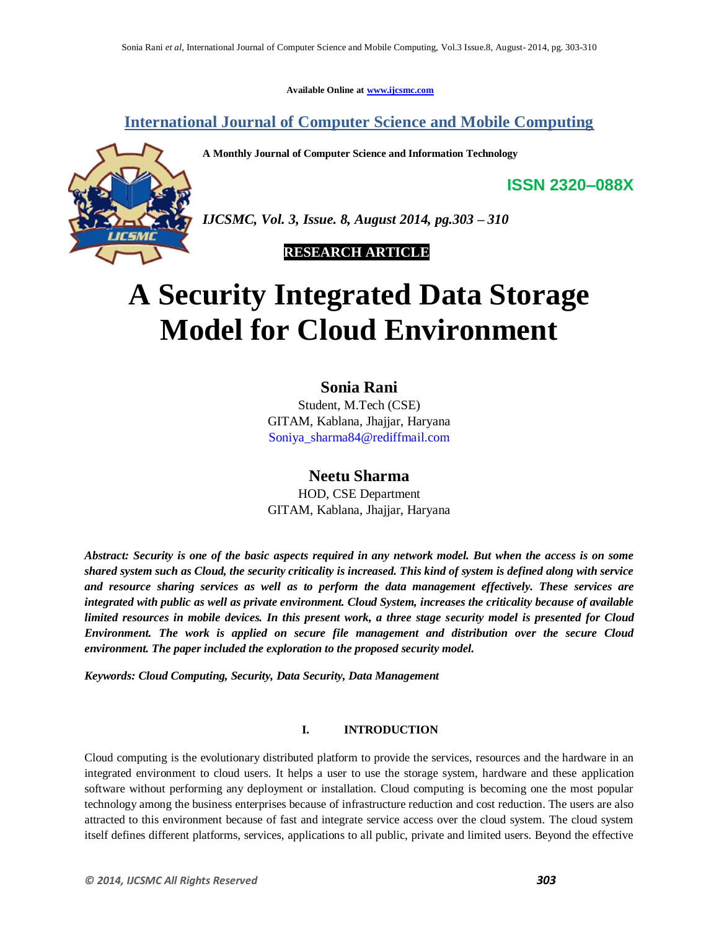**Available Online at www.ijcsmc.com**

**International Journal of Computer Science and Mobile Computing**

**A Monthly Journal of Computer Science and Information Technology**



*IJCSMC, Vol. 3, Issue. 8, August 2014, pg.303 – 310*

 **RESEARCH ARTICLE**

# **A Security Integrated Data Storage Model for Cloud Environment**

## **Sonia Rani**

Student, M.Tech (CSE) GITAM, Kablana, Jhajjar, Haryana Soniya\_sharma84@rediffmail.com

## **Neetu Sharma**

HOD, CSE Department GITAM, Kablana, Jhajjar, Haryana

*Abstract: Security is one of the basic aspects required in any network model. But when the access is on some shared system such as Cloud, the security criticality is increased. This kind of system is defined along with service and resource sharing services as well as to perform the data management effectively. These services are integrated with public as well as private environment. Cloud System, increases the criticality because of available limited resources in mobile devices. In this present work, a three stage security model is presented for Cloud Environment. The work is applied on secure file management and distribution over the secure Cloud environment. The paper included the exploration to the proposed security model.*

*Keywords: Cloud Computing, Security, Data Security, Data Management*

### **I. INTRODUCTION**

Cloud computing is the evolutionary distributed platform to provide the services, resources and the hardware in an integrated environment to cloud users. It helps a user to use the storage system, hardware and these application software without performing any deployment or installation. Cloud computing is becoming one the most popular technology among the business enterprises because of infrastructure reduction and cost reduction. The users are also attracted to this environment because of fast and integrate service access over the cloud system. The cloud system itself defines different platforms, services, applications to all public, private and limited users. Beyond the effective

**ISSN 2320–088X**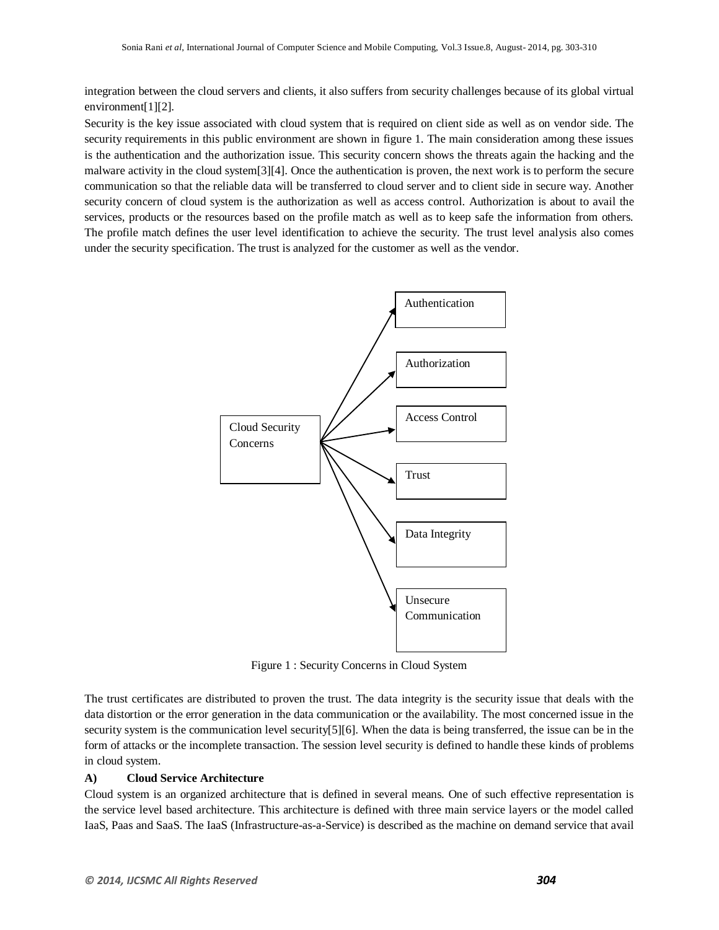integration between the cloud servers and clients, it also suffers from security challenges because of its global virtual environment[1][2].

Security is the key issue associated with cloud system that is required on client side as well as on vendor side. The security requirements in this public environment are shown in figure 1. The main consideration among these issues is the authentication and the authorization issue. This security concern shows the threats again the hacking and the malware activity in the cloud system[3][4]. Once the authentication is proven, the next work is to perform the secure communication so that the reliable data will be transferred to cloud server and to client side in secure way. Another security concern of cloud system is the authorization as well as access control. Authorization is about to avail the services, products or the resources based on the profile match as well as to keep safe the information from others. The profile match defines the user level identification to achieve the security. The trust level analysis also comes under the security specification. The trust is analyzed for the customer as well as the vendor.



Figure 1 : Security Concerns in Cloud System

The trust certificates are distributed to proven the trust. The data integrity is the security issue that deals with the data distortion or the error generation in the data communication or the availability. The most concerned issue in the security system is the communication level security[5][6]. When the data is being transferred, the issue can be in the form of attacks or the incomplete transaction. The session level security is defined to handle these kinds of problems in cloud system.

#### **A) Cloud Service Architecture**

Cloud system is an organized architecture that is defined in several means. One of such effective representation is the service level based architecture. This architecture is defined with three main service layers or the model called IaaS, Paas and SaaS. The IaaS (Infrastructure-as-a-Service) is described as the machine on demand service that avail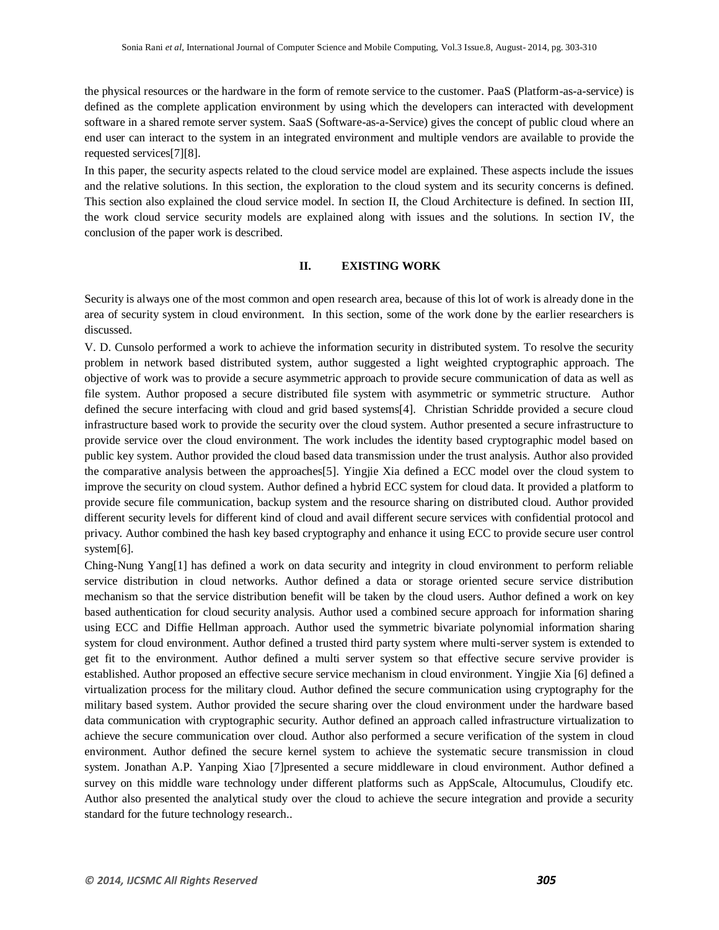the physical resources or the hardware in the form of remote service to the customer. PaaS (Platform-as-a-service) is defined as the complete application environment by using which the developers can interacted with development software in a shared remote server system. SaaS (Software-as-a-Service) gives the concept of public cloud where an end user can interact to the system in an integrated environment and multiple vendors are available to provide the requested services[7][8].

In this paper, the security aspects related to the cloud service model are explained. These aspects include the issues and the relative solutions. In this section, the exploration to the cloud system and its security concerns is defined. This section also explained the cloud service model. In section II, the Cloud Architecture is defined. In section III, the work cloud service security models are explained along with issues and the solutions. In section IV, the conclusion of the paper work is described.

#### **II. EXISTING WORK**

Security is always one of the most common and open research area, because of this lot of work is already done in the area of security system in cloud environment. In this section, some of the work done by the earlier researchers is discussed.

V. D. Cunsolo performed a work to achieve the information security in distributed system. To resolve the security problem in network based distributed system, author suggested a light weighted cryptographic approach. The objective of work was to provide a secure asymmetric approach to provide secure communication of data as well as file system. Author proposed a secure distributed file system with asymmetric or symmetric structure. Author defined the secure interfacing with cloud and grid based systems[4]. Christian Schridde provided a secure cloud infrastructure based work to provide the security over the cloud system. Author presented a secure infrastructure to provide service over the cloud environment. The work includes the identity based cryptographic model based on public key system. Author provided the cloud based data transmission under the trust analysis. Author also provided the comparative analysis between the approaches[5]. Yingjie Xia defined a ECC model over the cloud system to improve the security on cloud system. Author defined a hybrid ECC system for cloud data. It provided a platform to provide secure file communication, backup system and the resource sharing on distributed cloud. Author provided different security levels for different kind of cloud and avail different secure services with confidential protocol and privacy. Author combined the hash key based cryptography and enhance it using ECC to provide secure user control system[6].

Ching-Nung Yang[1] has defined a work on data security and integrity in cloud environment to perform reliable service distribution in cloud networks. Author defined a data or storage oriented secure service distribution mechanism so that the service distribution benefit will be taken by the cloud users. Author defined a work on key based authentication for cloud security analysis. Author used a combined secure approach for information sharing using ECC and Diffie Hellman approach. Author used the symmetric bivariate polynomial information sharing system for cloud environment. Author defined a trusted third party system where multi-server system is extended to get fit to the environment. Author defined a multi server system so that effective secure servive provider is established. Author proposed an effective secure service mechanism in cloud environment. Yingjie Xia [6] defined a virtualization process for the military cloud. Author defined the secure communication using cryptography for the military based system. Author provided the secure sharing over the cloud environment under the hardware based data communication with cryptographic security. Author defined an approach called infrastructure virtualization to achieve the secure communication over cloud. Author also performed a secure verification of the system in cloud environment. Author defined the secure kernel system to achieve the systematic secure transmission in cloud system. Jonathan A.P. Yanping Xiao [7]presented a secure middleware in cloud environment. Author defined a survey on this middle ware technology under different platforms such as AppScale, Altocumulus, Cloudify etc. Author also presented the analytical study over the cloud to achieve the secure integration and provide a security standard for the future technology research..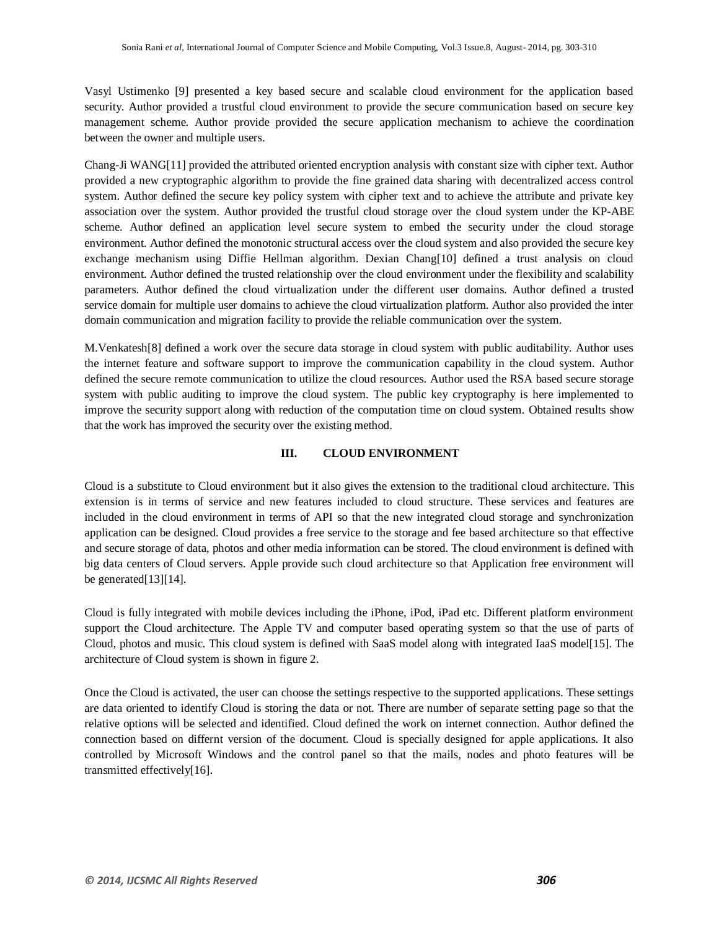Vasyl Ustimenko [9] presented a key based secure and scalable cloud environment for the application based security. Author provided a trustful cloud environment to provide the secure communication based on secure key management scheme. Author provide provided the secure application mechanism to achieve the coordination between the owner and multiple users.

Chang-Ji WANG[11] provided the attributed oriented encryption analysis with constant size with cipher text. Author provided a new cryptographic algorithm to provide the fine grained data sharing with decentralized access control system. Author defined the secure key policy system with cipher text and to achieve the attribute and private key association over the system. Author provided the trustful cloud storage over the cloud system under the KP-ABE scheme. Author defined an application level secure system to embed the security under the cloud storage environment. Author defined the monotonic structural access over the cloud system and also provided the secure key exchange mechanism using Diffie Hellman algorithm. Dexian Chang[10] defined a trust analysis on cloud environment. Author defined the trusted relationship over the cloud environment under the flexibility and scalability parameters. Author defined the cloud virtualization under the different user domains. Author defined a trusted service domain for multiple user domains to achieve the cloud virtualization platform. Author also provided the inter domain communication and migration facility to provide the reliable communication over the system.

M.Venkatesh[8] defined a work over the secure data storage in cloud system with public auditability. Author uses the internet feature and software support to improve the communication capability in the cloud system. Author defined the secure remote communication to utilize the cloud resources. Author used the RSA based secure storage system with public auditing to improve the cloud system. The public key cryptography is here implemented to improve the security support along with reduction of the computation time on cloud system. Obtained results show that the work has improved the security over the existing method.

#### **III. CLOUD ENVIRONMENT**

Cloud is a substitute to Cloud environment but it also gives the extension to the traditional cloud architecture. This extension is in terms of service and new features included to cloud structure. These services and features are included in the cloud environment in terms of API so that the new integrated cloud storage and synchronization application can be designed. Cloud provides a free service to the storage and fee based architecture so that effective and secure storage of data, photos and other media information can be stored. The cloud environment is defined with big data centers of Cloud servers. Apple provide such cloud architecture so that Application free environment will be generated[13][14].

Cloud is fully integrated with mobile devices including the iPhone, iPod, iPad etc. Different platform environment support the Cloud architecture. The Apple TV and computer based operating system so that the use of parts of Cloud, photos and music. This cloud system is defined with SaaS model along with integrated IaaS model[15]. The architecture of Cloud system is shown in figure 2.

Once the Cloud is activated, the user can choose the settings respective to the supported applications. These settings are data oriented to identify Cloud is storing the data or not. There are number of separate setting page so that the relative options will be selected and identified. Cloud defined the work on internet connection. Author defined the connection based on differnt version of the document. Cloud is specially designed for apple applications. It also controlled by Microsoft Windows and the control panel so that the mails, nodes and photo features will be transmitted effectively[16].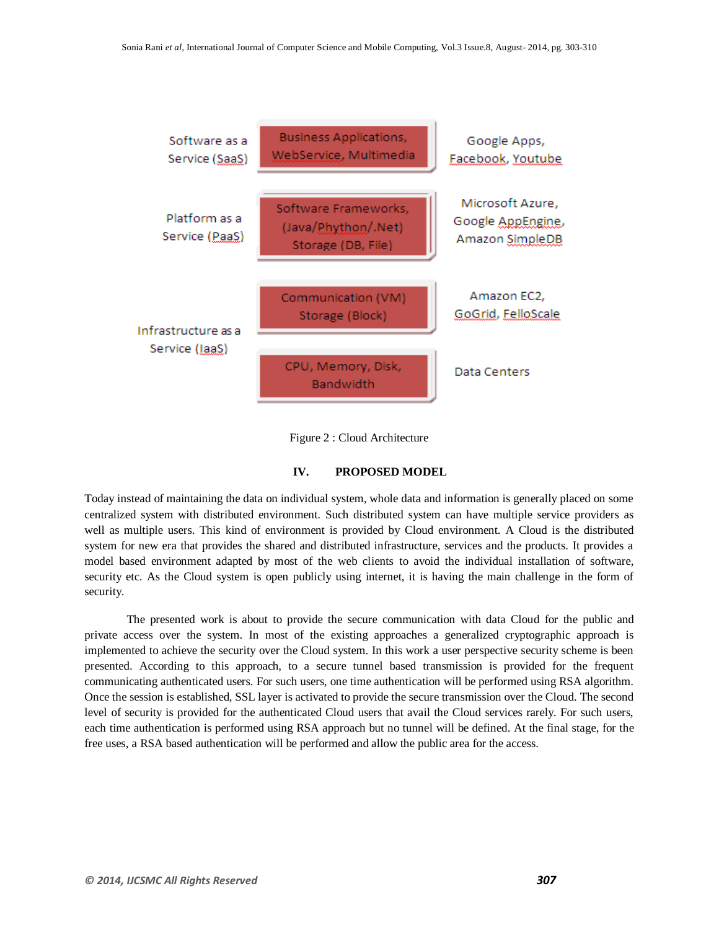



#### **IV. PROPOSED MODEL**

Today instead of maintaining the data on individual system, whole data and information is generally placed on some centralized system with distributed environment. Such distributed system can have multiple service providers as well as multiple users. This kind of environment is provided by Cloud environment. A Cloud is the distributed system for new era that provides the shared and distributed infrastructure, services and the products. It provides a model based environment adapted by most of the web clients to avoid the individual installation of software, security etc. As the Cloud system is open publicly using internet, it is having the main challenge in the form of security.

The presented work is about to provide the secure communication with data Cloud for the public and private access over the system. In most of the existing approaches a generalized cryptographic approach is implemented to achieve the security over the Cloud system. In this work a user perspective security scheme is been presented. According to this approach, to a secure tunnel based transmission is provided for the frequent communicating authenticated users. For such users, one time authentication will be performed using RSA algorithm. Once the session is established, SSL layer is activated to provide the secure transmission over the Cloud. The second level of security is provided for the authenticated Cloud users that avail the Cloud services rarely. For such users, each time authentication is performed using RSA approach but no tunnel will be defined. At the final stage, for the free uses, a RSA based authentication will be performed and allow the public area for the access.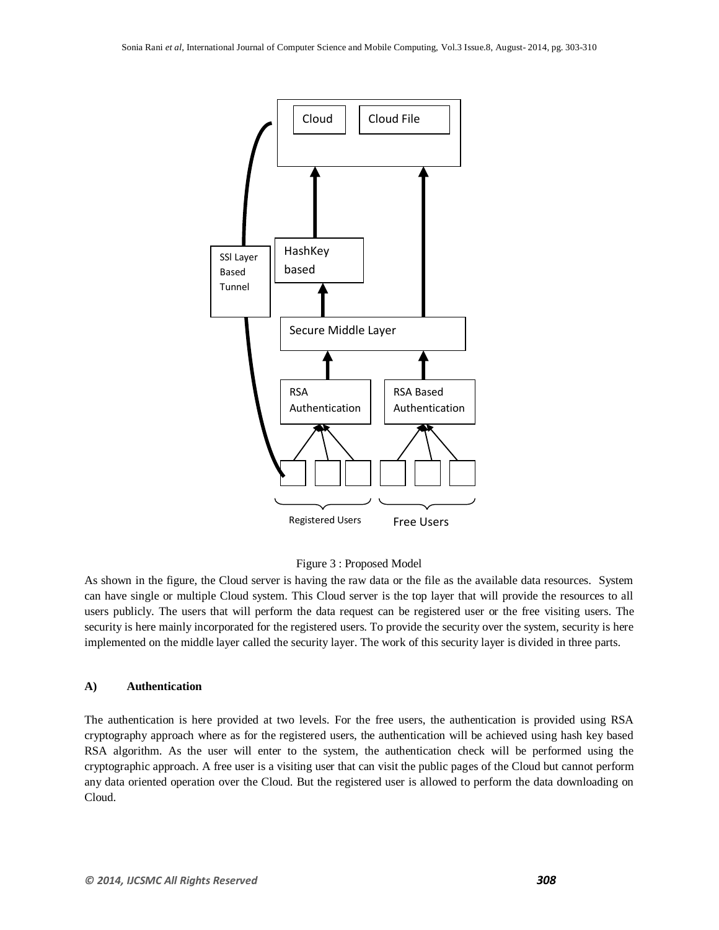



As shown in the figure, the Cloud server is having the raw data or the file as the available data resources. System can have single or multiple Cloud system. This Cloud server is the top layer that will provide the resources to all users publicly. The users that will perform the data request can be registered user or the free visiting users. The security is here mainly incorporated for the registered users. To provide the security over the system, security is here implemented on the middle layer called the security layer. The work of this security layer is divided in three parts.

#### **A) Authentication**

The authentication is here provided at two levels. For the free users, the authentication is provided using RSA cryptography approach where as for the registered users, the authentication will be achieved using hash key based RSA algorithm. As the user will enter to the system, the authentication check will be performed using the cryptographic approach. A free user is a visiting user that can visit the public pages of the Cloud but cannot perform any data oriented operation over the Cloud. But the registered user is allowed to perform the data downloading on Cloud.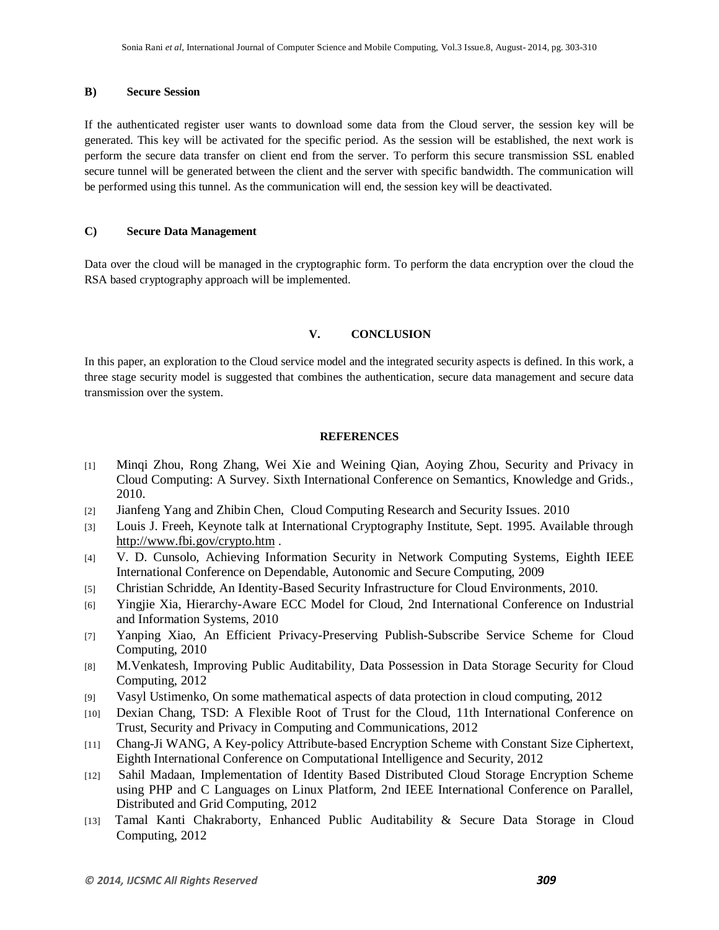#### **B) Secure Session**

If the authenticated register user wants to download some data from the Cloud server, the session key will be generated. This key will be activated for the specific period. As the session will be established, the next work is perform the secure data transfer on client end from the server. To perform this secure transmission SSL enabled secure tunnel will be generated between the client and the server with specific bandwidth. The communication will be performed using this tunnel. As the communication will end, the session key will be deactivated.

#### **C) Secure Data Management**

Data over the cloud will be managed in the cryptographic form. To perform the data encryption over the cloud the RSA based cryptography approach will be implemented.

#### **V. CONCLUSION**

In this paper, an exploration to the Cloud service model and the integrated security aspects is defined. In this work, a three stage security model is suggested that combines the authentication, secure data management and secure data transmission over the system.

#### **REFERENCES**

- [1] Minqi Zhou, Rong Zhang, Wei Xie and Weining Qian, Aoying Zhou, Security and Privacy in Cloud Computing: A Survey. Sixth International Conference on Semantics, Knowledge and Grids., 2010.
- [2] Jianfeng Yang and Zhibin Chen, Cloud Computing Research and Security Issues. 2010
- [3] Louis J. Freeh, Keynote talk at International Cryptography Institute, Sept. 1995. Available through <http://www.fbi.gov/crypto.htm> .
- [4] V. D. Cunsolo, Achieving Information Security in Network Computing Systems, Eighth IEEE International Conference on Dependable, Autonomic and Secure Computing, 2009
- [5] Christian Schridde, An Identity-Based Security Infrastructure for Cloud Environments, 2010.
- [6] Yingjie Xia, Hierarchy-Aware ECC Model for Cloud, 2nd International Conference on Industrial and Information Systems, 2010
- [7] Yanping Xiao, An Efficient Privacy-Preserving Publish-Subscribe Service Scheme for Cloud Computing, 2010
- [8] M.Venkatesh, Improving Public Auditability, Data Possession in Data Storage Security for Cloud Computing, 2012
- [9] Vasyl Ustimenko, On some mathematical aspects of data protection in cloud computing, 2012
- [10] Dexian Chang, TSD: A Flexible Root of Trust for the Cloud, 11th International Conference on Trust, Security and Privacy in Computing and Communications, 2012
- [11] Chang-Ji WANG, A Key-policy Attribute-based Encryption Scheme with Constant Size Ciphertext, Eighth International Conference on Computational Intelligence and Security, 2012
- [12] Sahil Madaan, Implementation of Identity Based Distributed Cloud Storage Encryption Scheme using PHP and C Languages on Linux Platform, 2nd IEEE International Conference on Parallel, Distributed and Grid Computing, 2012
- [13] Tamal Kanti Chakraborty, Enhanced Public Auditability & Secure Data Storage in Cloud Computing, 2012